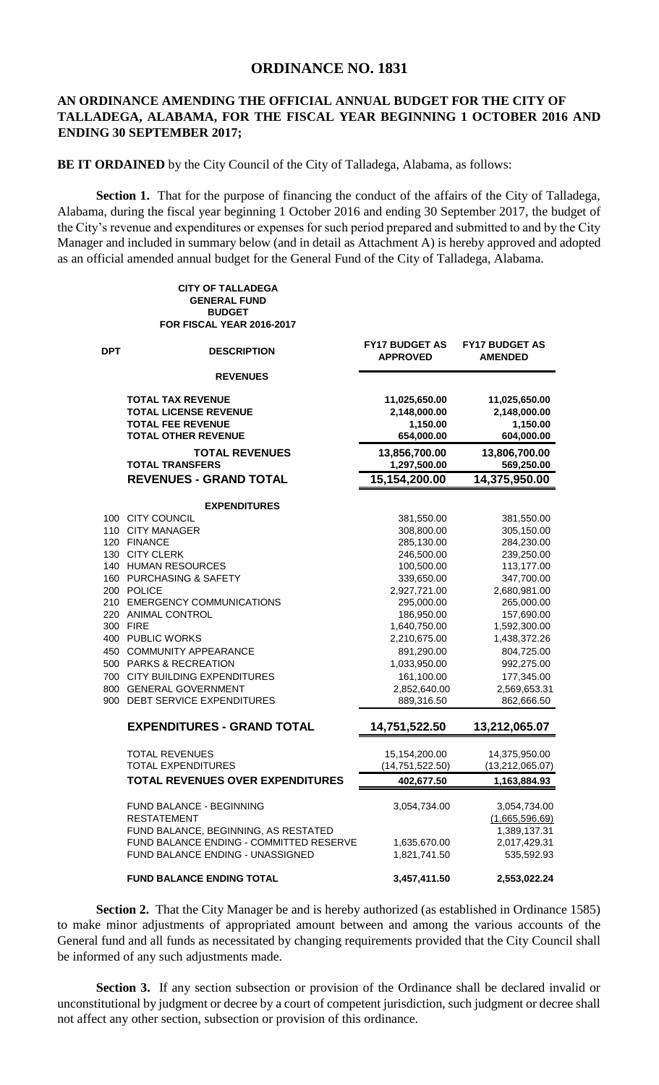## **ORDINANCE NO. 1831**

## **AN ORDINANCE AMENDING THE OFFICIAL ANNUAL BUDGET FOR THE CITY OF TALLADEGA, ALABAMA, FOR THE FISCAL YEAR BEGINNING 1 OCTOBER 2016 AND ENDING 30 SEPTEMBER 2017;**

**BE IT ORDAINED** by the City Council of the City of Talladega, Alabama, as follows:

**CITY OF TALLADEGA GENERAL FUND**

**Section 1.** That for the purpose of financing the conduct of the affairs of the City of Talladega, Alabama, during the fiscal year beginning 1 October 2016 and ending 30 September 2017, the budget of the City's revenue and expenditures or expenses for such period prepared and submitted to and by the City Manager and included in summary below (and in detail as Attachment A) is hereby approved and adopted as an official amended annual budget for the General Fund of the City of Talladega, Alabama.

|            | <b>BUDGET</b><br>FOR FISCAL YEAR 2016-2017                                                                                                                                                                                                                                                                                       |                                          |                                         |
|------------|----------------------------------------------------------------------------------------------------------------------------------------------------------------------------------------------------------------------------------------------------------------------------------------------------------------------------------|------------------------------------------|-----------------------------------------|
| <b>DPT</b> | <b>DESCRIPTION</b>                                                                                                                                                                                                                                                                                                               | <b>FY17 BUDGET AS</b><br><b>APPROVED</b> | <b>FY17 BUDGET AS</b><br><b>AMENDED</b> |
|            | <b>REVENUES</b>                                                                                                                                                                                                                                                                                                                  |                                          |                                         |
|            | <b>TOTAL TAX REVENUE</b>                                                                                                                                                                                                                                                                                                         | 11,025,650.00                            | 11,025,650.00                           |
|            | <b>TOTAL LICENSE REVENUE</b>                                                                                                                                                                                                                                                                                                     | 2,148,000.00                             | 2,148,000.00                            |
|            | <b>TOTAL FEE REVENUE</b><br><b>TOTAL OTHER REVENUE</b>                                                                                                                                                                                                                                                                           | 1,150.00<br>654,000.00                   | 1,150.00<br>604,000.00                  |
|            | <b>TOTAL REVENUES</b><br><b>TOTAL TRANSFERS</b>                                                                                                                                                                                                                                                                                  | 13,856,700.00<br>1,297,500.00            | 13,806,700.00<br>569,250.00             |
|            | <b>REVENUES - GRAND TOTAL</b>                                                                                                                                                                                                                                                                                                    | 15,154,200.00                            | 14,375,950.00                           |
|            | <b>EXPENDITURES</b>                                                                                                                                                                                                                                                                                                              |                                          |                                         |
|            | 100 CITY COUNCIL                                                                                                                                                                                                                                                                                                                 | 381,550.00                               | 381,550.00                              |
|            | 110 CITY MANAGER                                                                                                                                                                                                                                                                                                                 | 308,800.00                               | 305,150.00                              |
|            | 120 FINANCE                                                                                                                                                                                                                                                                                                                      | 285,130.00                               | 284,230.00                              |
|            | 130 CITY CLERK                                                                                                                                                                                                                                                                                                                   | 246,500.00                               | 239,250.00                              |
|            | 140 HUMAN RESOURCES                                                                                                                                                                                                                                                                                                              | 100,500.00                               | 113,177.00                              |
|            | 160 PURCHASING & SAFETY                                                                                                                                                                                                                                                                                                          | 339,650.00                               | 347,700.00                              |
|            | 200 POLICE                                                                                                                                                                                                                                                                                                                       | 2,927,721.00                             | 2,680,981.00                            |
|            | 210 EMERGENCY COMMUNICATIONS                                                                                                                                                                                                                                                                                                     | 295,000.00                               | 265,000.00                              |
|            | 220 ANIMAL CONTROL                                                                                                                                                                                                                                                                                                               | 186,950.00                               | 157,690.00                              |
|            | 300 FIRE                                                                                                                                                                                                                                                                                                                         | 1,640,750.00                             | 1,592,300.00                            |
|            | 400 PUBLIC WORKS                                                                                                                                                                                                                                                                                                                 | 2,210,675.00                             | 1,438,372.26                            |
|            | 450 COMMUNITY APPEARANCE                                                                                                                                                                                                                                                                                                         | 891,290.00                               | 804,725.00                              |
|            | 500 PARKS & RECREATION                                                                                                                                                                                                                                                                                                           | 1,033,950.00                             | 992,275.00                              |
|            | 700 CITY BUILDING EXPENDITURES                                                                                                                                                                                                                                                                                                   | 161,100.00                               | 177,345.00                              |
|            | 800 GENERAL GOVERNMENT                                                                                                                                                                                                                                                                                                           | 2,852,640.00                             | 2,569,653.31                            |
|            | 900 DEBT SERVICE EXPENDITURES                                                                                                                                                                                                                                                                                                    | 889,316.50                               | 862,666.50                              |
|            | <b>EXPENDITURES - GRAND TOTAL</b>                                                                                                                                                                                                                                                                                                | 14,751,522.50                            | 13,212,065.07                           |
|            | <b>TOTAL REVENUES</b>                                                                                                                                                                                                                                                                                                            | 15,154,200.00                            | 14,375,950.00                           |
|            | <b>TOTAL EXPENDITURES</b>                                                                                                                                                                                                                                                                                                        | (14, 751, 522.50)                        | (13, 212, 065.07)                       |
|            | <b>TOTAL REVENUES OVER EXPENDITURES</b>                                                                                                                                                                                                                                                                                          | 402,677.50                               | 1,163,884.93                            |
|            |                                                                                                                                                                                                                                                                                                                                  |                                          |                                         |
|            | FUND BALANCE - BEGINNING                                                                                                                                                                                                                                                                                                         | 3,054,734.00                             | 3,054,734.00                            |
|            | <b>RESTATEMENT</b>                                                                                                                                                                                                                                                                                                               |                                          | (1,665,596.69)                          |
|            | FUND BALANCE, BEGINNING, AS RESTATED                                                                                                                                                                                                                                                                                             |                                          | 1,389,137.31                            |
|            | FUND BALANCE ENDING - COMMITTED RESERVE<br>FUND BALANCE ENDING - UNASSIGNED                                                                                                                                                                                                                                                      | 1,635,670.00                             | 2,017,429.31<br>535,592.93              |
|            |                                                                                                                                                                                                                                                                                                                                  | 1,821,741.50                             |                                         |
|            | <b>FUND BALANCE ENDING TOTAL</b>                                                                                                                                                                                                                                                                                                 | 3,457,411.50                             | 2,553,022.24                            |
|            | Section 2. That the City Manager be and is hereby authorized (as established in Ordinan<br>to make minor adjustments of appropriated amount between and among the various accoun<br>General fund and all funds as necessitated by changing requirements provided that the City Cour<br>be informed of any such adjustments made. |                                          |                                         |
|            | Section 3. If any section subsection or provision of the Ordinance shall be declared in<br>unconstitutional by judgment or decree by a court of competent jurisdiction, such judgment or dec<br>not affect any other section, subsection or provision of this ordinance.                                                         |                                          |                                         |
|            |                                                                                                                                                                                                                                                                                                                                  |                                          |                                         |

**Section 2.** That the City Manager be and is hereby authorized (as established in Ordinance 1585) to make minor adjustments of appropriated amount between and among the various accounts of the General fund and all funds as necessitated by changing requirements provided that the City Council shall be informed of any such adjustments made.

**Section 3.** If any section subsection or provision of the Ordinance shall be declared invalid or unconstitutional by judgment or decree by a court of competent jurisdiction, such judgment or decree shall